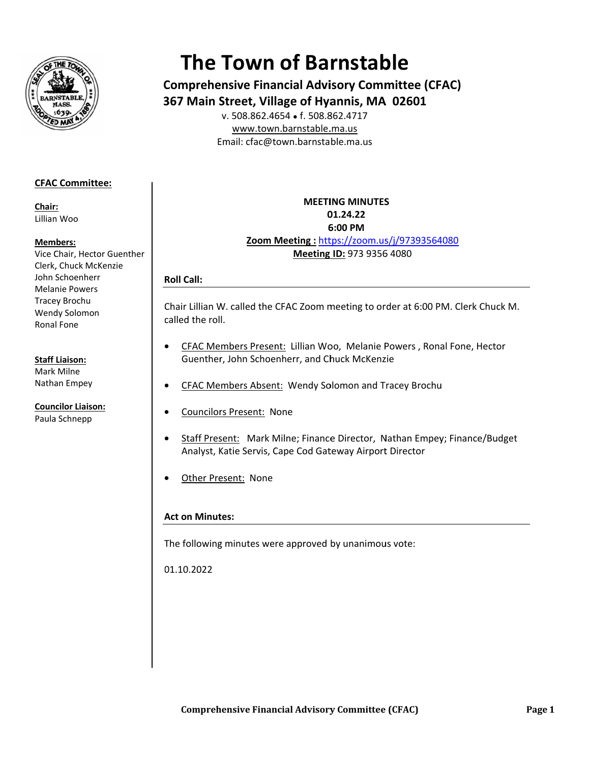

# **The Town of Barnstable**

**Comprehensive Financial Advisory Committee (CFAC)** 367 Main Street, Village of Hyannis, MA 02601

v. 508.862.4654 • f. 508.862.4717 www.town.barnstable.ma.us Email: cfac@town.barnstable.ma.us

# **CFAC Committee:**

Chair: Lillian Woo

### Members:

Vice Chair, Hector Guenther Clerk, Chuck McKenzie John Schoenherr **Melanie Powers Tracey Brochu** Wendy Solomon Ronal Fone

### **Staff Liaison:**

Mark Milne Nathan Empey

**Councilor Liaison:** Paula Schnepp

**MEETING MINUTES** 01.24.22 6:00 PM Zoom Meeting: https://zoom.us/j/97393564080 Meeting ID: 973 9356 4080

# **Roll Call:**

Chair Lillian W. called the CFAC Zoom meeting to order at 6:00 PM. Clerk Chuck M. called the roll.

- CFAC Members Present: Lillian Woo, Melanie Powers, Ronal Fone, Hector  $\bullet$ Guenther, John Schoenherr, and Chuck McKenzie
- CFAC Members Absent: Wendy Solomon and Tracey Brochu
- **Councilors Present: None**
- Staff Present: Mark Milne; Finance Director, Nathan Empey; Finance/Budget Analyst, Katie Servis, Cape Cod Gateway Airport Director
- Other Present: None

# **Act on Minutes:**

The following minutes were approved by unanimous vote:

01.10.2022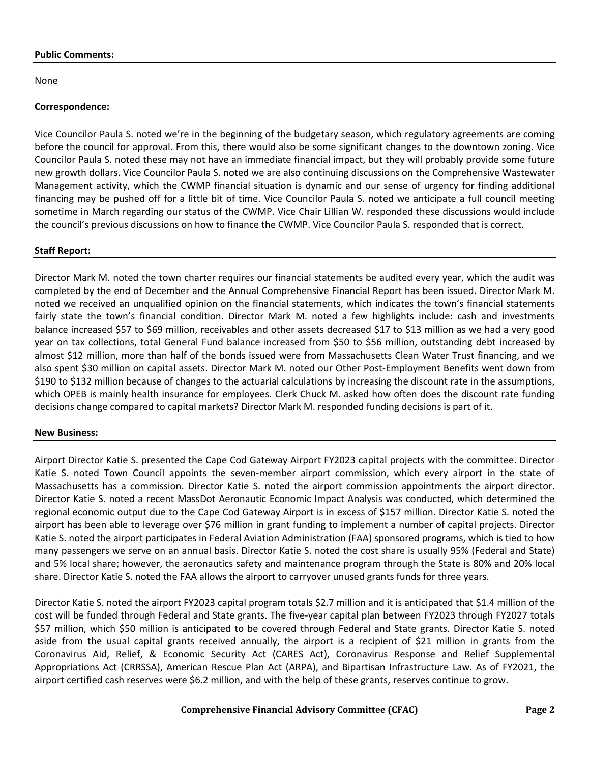#### **Public Comments:**

None

## **Correspondence:**

Vice Councilor Paula S. noted we're in the beginning of the budgetary season, which regulatory agreements are coming before the council for approval. From this, there would also be some significant changes to the downtown zoning. Vice Councilor Paula S. noted these may not have an immediate financial impact, but they will probably provide some future new growth dollars. Vice Councilor Paula S. noted we are also continuing discussions on the Comprehensive Wastewater Management activity, which the CWMP financial situation is dynamic and our sense of urgency for finding additional financing may be pushed off for a little bit of time. Vice Councilor Paula S. noted we anticipate a full council meeting sometime in March regarding our status of the CWMP. Vice Chair Lillian W. responded these discussions would include the council's previous discussions on how to finance the CWMP. Vice Councilor Paula S. responded that is correct.

## **Staff Report:**

Director Mark M. noted the town charter requires our financial statements be audited every year, which the audit was completed by the end of December and the Annual Comprehensive Financial Report has been issued. Director Mark M. noted we received an unqualified opinion on the financial statements, which indicates the town's financial statements fairly state the town's financial condition. Director Mark M. noted a few highlights include: cash and investments balance increased \$57 to \$69 million, receivables and other assets decreased \$17 to \$13 million as we had a very good year on tax collections, total General Fund balance increased from \$50 to \$56 million, outstanding debt increased by almost \$12 million, more than half of the bonds issued were from Massachusetts Clean Water Trust financing, and we also spent \$30 million on capital assets. Director Mark M. noted our Other Post-Employment Benefits went down from \$190 to \$132 million because of changes to the actuarial calculations by increasing the discount rate in the assumptions, which OPEB is mainly health insurance for employees. Clerk Chuck M. asked how often does the discount rate funding decisions change compared to capital markets? Director Mark M. responded funding decisions is part of it.

#### **New Business:**

Airport Director Katie S. presented the Cape Cod Gateway Airport FY2023 capital projects with the committee. Director Katie S. noted Town Council appoints the seven-member airport commission, which every airport in the state of Massachusetts has a commission. Director Katie S. noted the airport commission appointments the airport director. Director Katie S. noted a recent MassDot Aeronautic Economic Impact Analysis was conducted, which determined the regional economic output due to the Cape Cod Gateway Airport is in excess of \$157 million. Director Katie S. noted the airport has been able to leverage over \$76 million in grant funding to implement a number of capital projects. Director Katie S. noted the airport participates in Federal Aviation Administration (FAA) sponsored programs, which is tied to how many passengers we serve on an annual basis. Director Katie S. noted the cost share is usually 95% (Federal and State) and 5% local share; however, the aeronautics safety and maintenance program through the State is 80% and 20% local share. Director Katie S. noted the FAA allows the airport to carryover unused grants funds for three years.

Director Katie S. noted the airport FY2023 capital program totals \$2.7 million and it is anticipated that \$1.4 million of the cost will be funded through Federal and State grants. The five-year capital plan between FY2023 through FY2027 totals \$57 million, which \$50 million is anticipated to be covered through Federal and State grants. Director Katie S. noted aside from the usual capital grants received annually, the airport is a recipient of \$21 million in grants from the Coronavirus Aid, Relief, & Economic Security Act (CARES Act), Coronavirus Response and Relief Supplemental Appropriations Act (CRRSSA), American Rescue Plan Act (ARPA), and Bipartisan Infrastructure Law. As of FY2021, the airport certified cash reserves were \$6.2 million, and with the help of these grants, reserves continue to grow.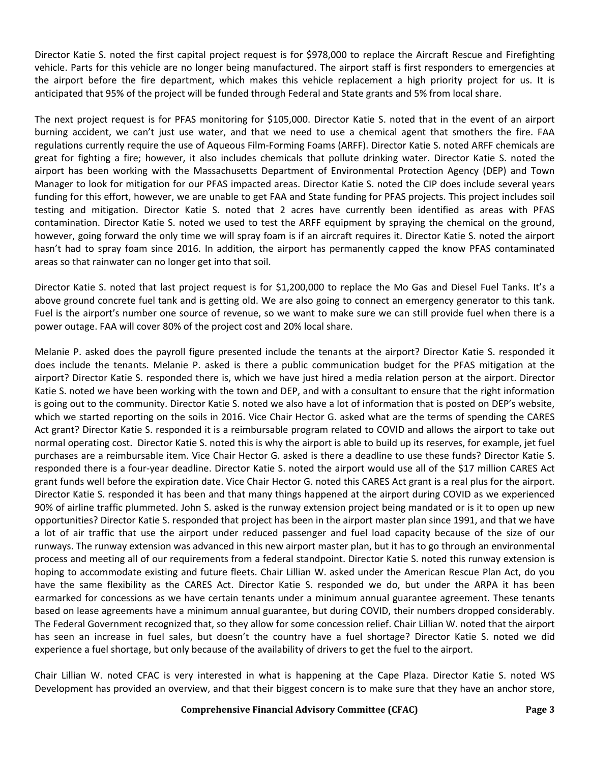Director Katie S. noted the first capital project request is for \$978,000 to replace the Aircraft Rescue and Firefighting vehicle. Parts for this vehicle are no longer being manufactured. The airport staff is first responders to emergencies at the airport before the fire department, which makes this vehicle replacement a high priority project for us. It is anticipated that 95% of the project will be funded through Federal and State grants and 5% from local share.

The next project request is for PFAS monitoring for \$105,000. Director Katie S. noted that in the event of an airport burning accident, we can't just use water, and that we need to use a chemical agent that smothers the fire. FAA regulations currently require the use of Aqueous Film-Forming Foams (ARFF). Director Katie S. noted ARFF chemicals are great for fighting a fire; however, it also includes chemicals that pollute drinking water. Director Katie S. noted the airport has been working with the Massachusetts Department of Environmental Protection Agency (DEP) and Town Manager to look for mitigation for our PFAS impacted areas. Director Katie S. noted the CIP does include several years funding for this effort, however, we are unable to get FAA and State funding for PFAS projects. This project includes soil testing and mitigation. Director Katie S. noted that 2 acres have currently been identified as areas with PFAS contamination. Director Katie S. noted we used to test the ARFF equipment by spraying the chemical on the ground, however, going forward the only time we will spray foam is if an aircraft requires it. Director Katie S. noted the airport hasn't had to spray foam since 2016. In addition, the airport has permanently capped the know PFAS contaminated areas so that rainwater can no longer get into that soil.

Director Katie S. noted that last project request is for \$1,200,000 to replace the Mo Gas and Diesel Fuel Tanks. It's a above ground concrete fuel tank and is getting old. We are also going to connect an emergency generator to this tank. Fuel is the airport's number one source of revenue, so we want to make sure we can still provide fuel when there is a power outage. FAA will cover 80% of the project cost and 20% local share.

Melanie P. asked does the payroll figure presented include the tenants at the airport? Director Katie S. responded it does include the tenants. Melanie P. asked is there a public communication budget for the PFAS mitigation at the airport? Director Katie S. responded there is, which we have just hired a media relation person at the airport. Director Katie S. noted we have been working with the town and DEP, and with a consultant to ensure that the right information is going out to the community. Director Katie S. noted we also have a lot of information that is posted on DEP's website, which we started reporting on the soils in 2016. Vice Chair Hector G. asked what are the terms of spending the CARES Act grant? Director Katie S. responded it is a reimbursable program related to COVID and allows the airport to take out normal operating cost. Director Katie S. noted this is why the airport is able to build up its reserves, for example, jet fuel purchases are a reimbursable item. Vice Chair Hector G. asked is there a deadline to use these funds? Director Katie S. responded there is a four-year deadline. Director Katie S. noted the airport would use all of the \$17 million CARES Act grant funds well before the expiration date. Vice Chair Hector G. noted this CARES Act grant is a real plus for the airport. Director Katie S. responded it has been and that many things happened at the airport during COVID as we experienced 90% of airline traffic plummeted. John S. asked is the runway extension project being mandated or is it to open up new opportunities? Director Katie S. responded that project has been in the airport master plan since 1991, and that we have a lot of air traffic that use the airport under reduced passenger and fuel load capacity because of the size of our runways. The runway extension was advanced in this new airport master plan, but it has to go through an environmental process and meeting all of our requirements from a federal standpoint. Director Katie S. noted this runway extension is hoping to accommodate existing and future fleets. Chair Lillian W. asked under the American Rescue Plan Act, do you have the same flexibility as the CARES Act. Director Katie S. responded we do, but under the ARPA it has been earmarked for concessions as we have certain tenants under a minimum annual guarantee agreement. These tenants based on lease agreements have a minimum annual guarantee, but during COVID, their numbers dropped considerably. The Federal Government recognized that, so they allow for some concession relief. Chair Lillian W. noted that the airport has seen an increase in fuel sales, but doesn't the country have a fuel shortage? Director Katie S. noted we did experience a fuel shortage, but only because of the availability of drivers to get the fuel to the airport.

Chair Lillian W. noted CFAC is very interested in what is happening at the Cape Plaza. Director Katie S. noted WS Development has provided an overview, and that their biggest concern is to make sure that they have an anchor store,